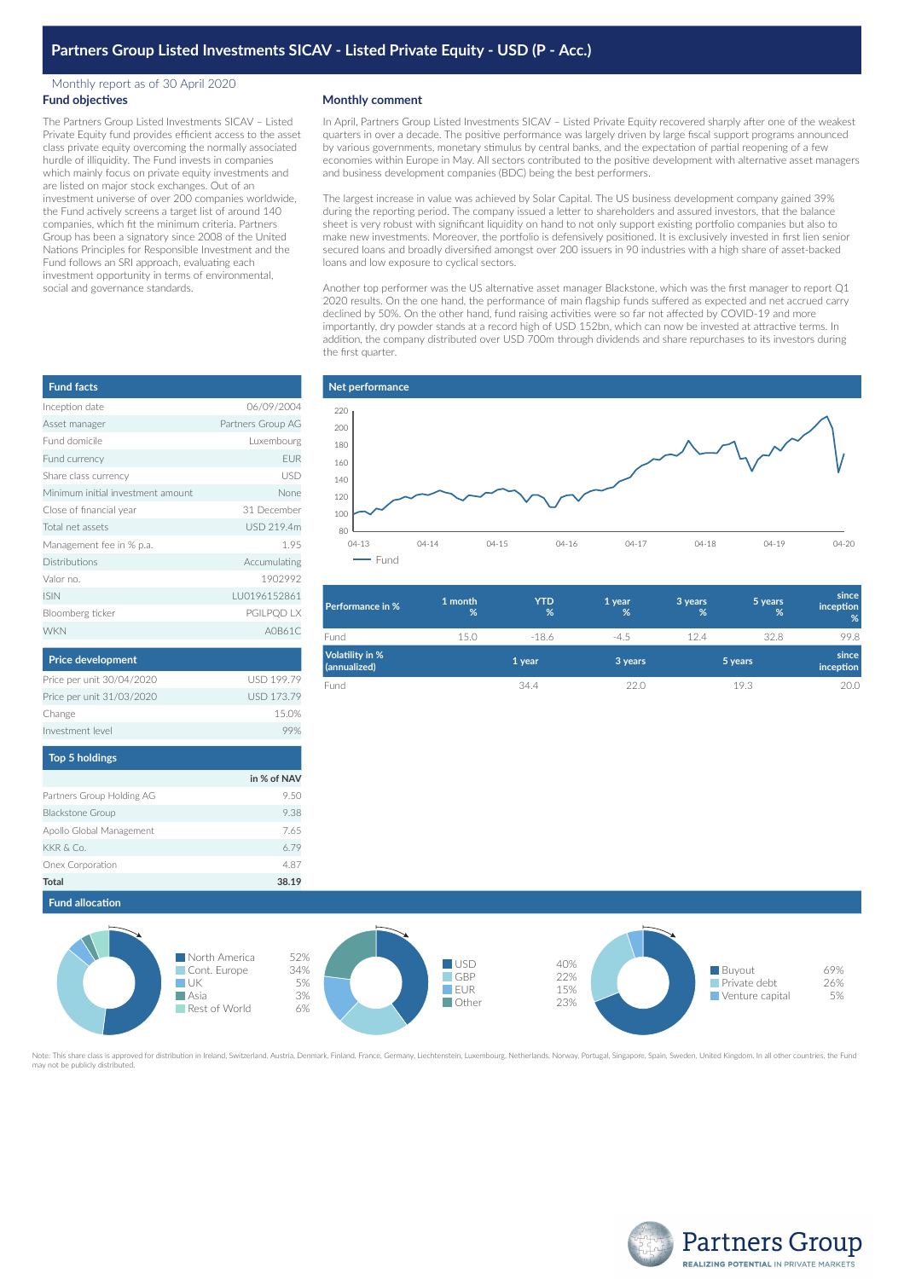## Monthly report as of 30 April 2020 **Fund objectives**

The Partners Group Listed Investments SICAV – Listed Private Equity fund provides efficient access to the asset class private equity overcoming the normally associated hurdle of illiquidity. The Fund invests in companies which mainly focus on private equity investments and are listed on major stock exchanges. Out of an investment universe of over 200 companies worldwide, the Fund actively screens a target list of around 140 companies, which fit the minimum criteria. Partners Group has been a signatory since 2008 of the United Nations Principles for Responsible Investment and the Fund follows an SRI approach, evaluating each investment opportunity in terms of environmental, social and governance standards.

## **Monthly comment**

In April, Partners Group Listed Investments SICAV – Listed Private Equity recovered sharply after one of the weakest quarters in over a decade. The positive performance was largely driven by large fiscal support programs announced by various governments, monetary stimulus by central banks, and the expectation of partial reopening of a few economies within Europe in May. All sectors contributed to the positive development with alternative asset managers and business development companies (BDC) being the best performers.

The largest increase in value was achieved by Solar Capital. The US business development company gained 39% during the reporting period. The company issued a letter to shareholders and assured investors, that the balance sheet is very robust with significant liquidity on hand to not only support existing portfolio companies but also to make new investments. Moreover, the portfolio is defensively positioned. It is exclusively invested in first lien senior secured loans and broadly diversified amongst over 200 issuers in 90 industries with a high share of asset-backed loans and low exposure to cyclical sectors.

Another top performer was the US alternative asset manager Blackstone, which was the first manager to report Q1 2020 results. On the one hand, the performance of main flagship funds suffered as expected and net accrued carry declined by 50%. On the other hand, fund raising activities were so far not affected by COVID-19 and more importantly, dry powder stands at a record high of USD 152bn, which can now be invested at attractive terms. In addition, the company distributed over USD 700m through dividends and share repurchases to its investors during the first quarter.



| Performance in %                | 1 month<br>% | <b>YTD</b><br>% | 1 year<br>% | 3 years<br>% | 5 years<br>% | since<br>inception<br>% |
|---------------------------------|--------------|-----------------|-------------|--------------|--------------|-------------------------|
| Fund                            | 15.0         | $-18.6$         | $-4.5$      | 12.4         | 32.8         | 99.8                    |
| Volatility in %<br>(annualized) |              | 1 year          | 3 years     |              | 5 years      | since<br>inception      |
| Fund                            |              | 34.4            | 22.0        |              | 19.3         | 20.0                    |

| <b>Fund facts</b>                 |                   |
|-----------------------------------|-------------------|
| Inception date                    | 06/09/2004        |
| Asset manager                     | Partners Group AG |
| Eund domicile                     | Luxembourg        |
| Fund currency                     | <b>EUR</b>        |
| Share class currency              | USD               |
| Minimum initial investment amount | None              |
| Close of financial year           | 31 December       |
| Total net assets                  | USD 219.4m        |
| Management fee in % p.a.          | 195               |
| <b>Distributions</b>              | Accumulating      |
| Valor no                          | 1902992           |
| <b>ISIN</b>                       | LU0196152861      |
| Bloomberg ticker                  | PGILPQD LX        |
| <b>WKN</b>                        | A0B61C            |

| <b>Price development</b>  |                   |
|---------------------------|-------------------|
| Price per unit 30/04/2020 | <b>USD 199.79</b> |
| Price per unit 31/03/2020 | <b>USD 173.79</b> |
| Change                    | 15.0%             |
| Investment level          |                   |
|                           |                   |

| <b>Top 5 holdings</b>     |             |
|---------------------------|-------------|
|                           | in % of NAV |
| Partners Group Holding AG | 950         |
| <b>Blackstone Group</b>   | 9.38        |
| Apollo Global Management  | 7.65        |
| KKR & Co.                 | 6.79        |
| Onex Corporation          | 4.87        |
| Total                     | 38.19       |

**Fund allocation**



ed for distribution in Ireland, Switzerland, Austria, Denmark, Finland, France, Germany, Liechtenstein, Luxembourg, Netherlands, Norway, Portugal, Singapore, Spain, Sweden, United Kingdom. In all other countries, the Fund ay not be publicly distributed